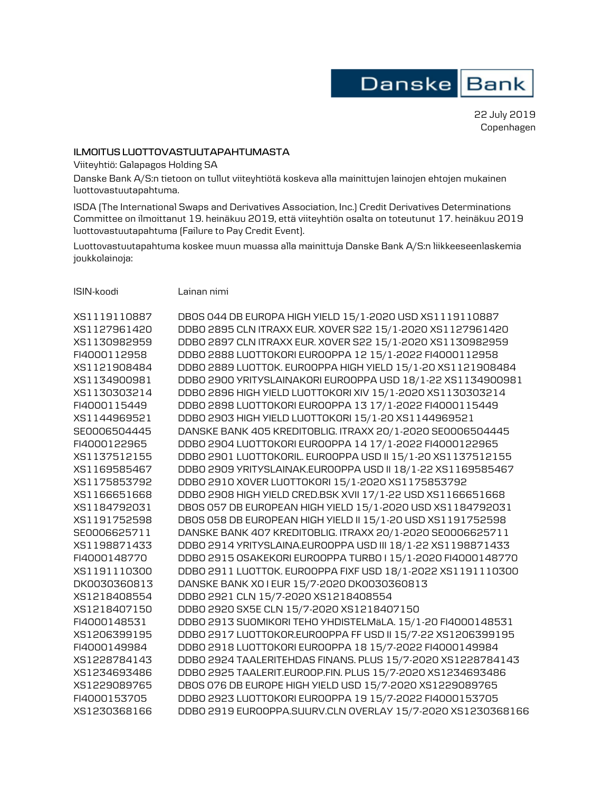Danske Bank

22 July 2019 Copenhagen

## **ILMOITUS LUOTTOVASTUUTAPAHTUMASTA**

Viiteyhtiö: Galapagos Holding SA

Danske Bank A/S:n tietoon on tullut viiteyhtiötä koskeva alla mainittujen lainojen ehtojen mukainen luottovastuutapahtuma.

ISDA (The International Swaps and Derivatives Association, Inc.) Credit Derivatives Determinations Committee on ilmoittanut 19. heinäkuu 2019, että viiteyhtiön osalta on toteutunut 17. heinäkuu 2019 luottovastuutapahtuma (Failure to Pay Credit Event).

Luottovastuutapahtuma koskee muun muassa alla mainittuja Danske Bank A/S:n liikkeeseenlaskemia joukkolainoja:

ISIN-koodi Lainan nimi

| XS1119110887 | DBOS 044 DB EUROPA HIGH YIELD 15/1-2020 USD XS1119110887    |
|--------------|-------------------------------------------------------------|
| XS1127961420 | DDB0 2895 CLN ITRAXX EUR. XOVER S22 15/1-2020 XS1127961420  |
| XS1130982959 | DDB0 2897 CLN ITRAXX EUR. XOVER S22 15/1-2020 XS1130982959  |
| FI4000112958 | DDB0 2888 LUOTTOKORI EUROOPPA 12 15/1-2022 FI4000112958     |
| XS1121908484 | DDB0 2889 LUOTTOK. EUROOPPA HIGH YIELD 15/1-20 XS1121908484 |
| XS1134900981 | DDBO 2900 YRITYSLAINAKORI EUROOPPA USD 18/1-22 XS1134900981 |
| XS1130303214 | DDB0 2896 HIGH YIELD LUOTTOKORI XIV 15/1-2020 XS1130303214  |
| FI4000115449 | DDB0 2898 LU0TT0K0RI EUROOPPA 13 17/1-2022 FI4000115449     |
| XS1144969521 | DDB0 2903 HIGH YIELD LUOTTOKORI 15/1-20 XS1144969521        |
| SE0006504445 | DANSKE BANK 405 KREDITOBLIG. ITRAXX 20/1-2020 SE0006504445  |
| FI4000122965 | DDB0 2904 LU0TT0KORI EUROOPPA 14 17/1-2022 FI4000122965     |
| XS1137512155 | DDB0 2901 LUOTTOKORIL. EUROOPPA USD II 15/1-20 XS1137512155 |
| XS1169585467 | DDBO 2909 YRITYSLAINAK.EUROOPPA USD II 18/1-22 XS1169585467 |
| XS1175853792 | DDB0 2910 XOVER LUOTTOKORI 15/1-2020 XS1175853792           |
| XS1166651668 | DDB0 2908 HIGH YIELD CRED.BSK XVII 17/1-22 USD XS1166651668 |
| XS1184792031 | DB0S 057 DB EUROPEAN HIGH YIELD 15/1-2020 USD XS1184792031  |
| XS1191752598 | DBOS 058 DB EUROPEAN HIGH YIELD II 15/1-20 USD XS1191752598 |
| SE0006625711 | DANSKE BANK 407 KREDITOBLIG. ITRAXX 20/1-2020 SE0006625711  |
| XS1198871433 | DDB0 2914 YRITYSLAINA.EUROOPPA USD III 18/1-22 XS1198871433 |
| FI4000148770 | DDB0 2915 0SAKEKORI EUROOPPA TURB0   15/1-2020 FI4000148770 |
| XS1191110300 | DDB0 2911 LU0TT0K. EUROOPPA FIXF USD 18/1-2022 XS1191110300 |
| DK0030360813 | DANSKE BANK XO I EUR 15/7-2020 DK0030360813                 |
| XS1218408554 | DDB0 2921 CLN 15/7-2020 XS1218408554                        |
| XS1218407150 | DDB0 2920 SX5E CLN 15/7-2020 XS1218407150                   |
| FI4000148531 | DDB0 2913 SU0MIKORI TEHO YHDISTELMäLA. 15/1-20 FI4000148531 |
| XS1206399195 | DDB0 2917 LU0TT0K0R.EUR00PPA FF USD II 15/7-22 XS1206399195 |
| FI4000149984 | DDB0 2918 LUOTTOKORI EUROOPPA 18 15/7-2022 FI4000149984     |
| XS1228784143 | DDB0 2924 TAALERITEHDAS FINANS. PLUS 15/7-2020 XS1228784143 |
| XS1234693486 | DDB0 2925 TAALERIT.EUROOP.FIN. PLUS 15/7-2020 XS1234693486  |
| XS1229089765 | DB0S 076 DB EUROPE HIGH YIELD USD 15/7-2020 XS1229089765    |
| FI4000153705 | DDB0 2923 LUOTTOKORI EUROOPPA 19 15/7-2022 FI4000153705     |
| XS1230368166 | DDB0 2919 EUROOPPA.SUURV.CLN OVERLAY 15/7-2020 XS1230368166 |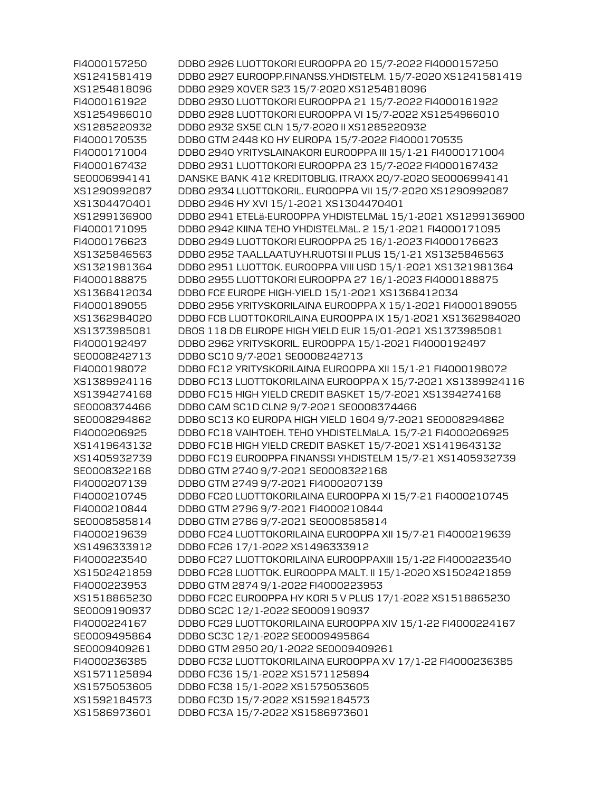| FI4000157250 | DDB0 2926 LUOTTOKORI EUROOPPA 20 15/7-2022 FI4000157250     |
|--------------|-------------------------------------------------------------|
| XS1241581419 | DDB0 2927 EUROOPP.FINANSS.YHDISTELM. 15/7-2020 XS1241581419 |
| XS1254818096 | DDB0 2929 XOVER S23 15/7-2020 XS1254818096                  |
| FI4000161922 | DDB0 2930 LUOTTOKORI EUROOPPA 21 15/7-2022 FI4000161922     |
| XS1254966010 | DDB0 2928 LUOTTOKORI EUROOPPA VI 15/7-2022 XS1254966010     |
| XS1285220932 | DDB0 2932 SX5E CLN 15/7-2020 II XS1285220932                |
| FI4000170535 | DDBO GTM 2448 KO HY EUROPA 15/7-2022 FI4000170535           |
| FI4000171004 | DDB0 2940 YRITYSLAINAKORI EUROOPPA III 15/1-21 FI4000171004 |
| FI4000167432 | DDB0 2931 LU0TT0K0RI EUR00PPA 23 15/7-2022 FI4000167432     |
| SE0006994141 | DANSKE BANK 412 KREDITOBLIG. ITRAXX 20/7-2020 SE0006994141  |
| XS1290992087 | DDB0 2934 LU0TT0KORIL. EUROOPPA VII 15/7-2020 XS1290992087  |
| XS1304470401 | DDB0 2946 HY XVI 15/1-2021 XS1304470401                     |
| XS1299136900 | DDBO 2941 ETELä-EUROOPPA YHDISTELMäL 15/1-2021 XS1299136900 |
| FI4000171095 | DDB0 2942 KIINA TEHO YHDISTELMÄL. 2 15/1-2021 FI4000171095  |
| FI4000176623 | DDB0 2949 LUOTTOKORI EUROOPPA 25 16/1-2023 FI4000176623     |
| XS1325846563 | DDB0 2952 TAAL.LAATUYH.RU0TSI II PLUS 15/1-21 XS1325846563  |
| XS1321981364 | DDB0 2951 LUOTTOK. EUROOPPA VIII USD 15/1-2021 XS1321981364 |
| FI4000188875 | DDB0 2955 LUOTTOKORI EUROOPPA 27 16/1-2023 FI4000188875     |
| XS1368412034 | DDBO FCE EUROPE HIGH-YIELD 15/1-2021 XS1368412034           |
| FI4000189055 | DDB0 2956 YRITYSKORILAINA EUROOPPA X 15/1-2021 FI4000189055 |
| XS1362984020 | DDBO FCB LUOTTOKORILAINA EUROOPPA IX 15/1-2021 XS1362984020 |
| XS1373985081 | DBOS 118 DB EUROPE HIGH YIELD EUR 15/01-2021 XS1373985081   |
| FI4000192497 | DDB0 2962 YRITYSKORIL. EUROOPPA 15/1-2021 FI4000192497      |
| SE0008242713 | DDB0 SC10 9/7-2021 SE0008242713                             |
| FI4000198072 | DDBO FC12 YRITYSKORILAINA EUROOPPA XII 15/1-21 FI4000198072 |
| XS1389924116 | DDBO FC13 LUOTTOKORILAINA EUROOPPA X 15/7-2021 XS1389924116 |
| XS1394274168 | DDB0 FC15 HIGH YIELD CREDIT BASKET 15/7-2021 XS1394274168   |
| SE0008374466 | DDBO CAM SC1D CLN2 9/7-2021 SE0008374466                    |
| SE0008294862 | DDBO SC13 KO EUROPA HIGH YIELD 1604 9/7-2021 SE0008294862   |
| FI4000206925 | DDBO FC18 VAIHTOEH. TEHO YHDISTELMÄLA. 15/7-21 FI4000206925 |
| XS1419643132 | DDBO FC1B HIGH YIELD CREDIT BASKET 15/7-2021 XS1419643132   |
| XS1405932739 | DDBO FC19 EUROOPPA FINANSSI YHDISTELM 15/7-21 XS1405932739  |
| SE0008322168 | DDB0 GTM 2740 9/7-2021 SE0008322168                         |
| FI4000207139 | DDB0 GTM 2749 9/7-2021 FI4000207139                         |
| FI4000210745 | DDBO FC20 LUOTTOKORILAINA EUROOPPA XI 15/7-21 FI4000210745  |
| FI4000210844 | DDB0 GTM 2796 9/7-2021 FI4000210844                         |
| SE0008585814 | DDB0 GTM 2786 9/7-2021 SE0008585814                         |
| FI4000219639 | DDBO FC24 LUOTTOKORILAINA EUROOPPA XII 15/7-21 FI4000219639 |
| XS1496333912 | DDB0 FC26 17/1-2022 XS1496333912                            |
| FI4000223540 | DDBO FC27 LUOTTOKORILAINA EUROOPPAXIII 15/1-22 FI4000223540 |
| XS1502421859 | DDB0 FC28 LU0TT0K. EUROOPPA MALT. II 15/1-2020 XS1502421859 |
| FI4000223953 | DDB0 GTM 2874 9/1-2022 FI4000223953                         |
| XS1518865230 | DDB0 FC2C EUROOPPA HY KORI 5 V PLUS 17/1-2022 XS1518865230  |
| SE0009190937 | DDB0 SC2C 12/1-2022 SE0009190937                            |
| FI4000224167 | DDBO FC29 LUOTTOKORILAINA EUROOPPA XIV 15/1-22 FI4000224167 |
| SE0009495864 | DDB0 SC3C 12/1-2022 SE0009495864                            |
| SE0009409261 | DDB0 GTM 2950 20/1-2022 SE0009409261                        |
| FI4000236385 | DDBO FC32 LUOTTOKORILAINA EUROOPPA XV 17/1-22 FI4000236385  |
| XS1571125894 | DDB0 FC36 15/1-2022 XS1571125894                            |
| XS1575053605 | DDB0 FC38 15/1-2022 XS1575053605                            |
| XS1592184573 | DDB0 FC3D 15/7-2022 XS1592184573                            |
| XS1586973601 | DDB0 FC3A 15/7-2022 XS1586973601                            |